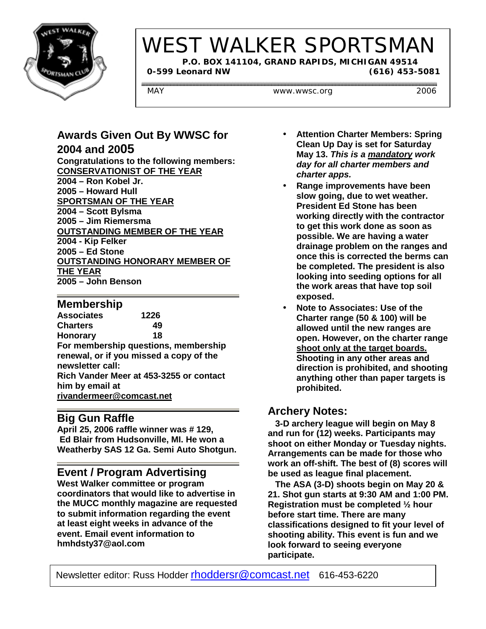

# WEST WALKER SPORTSMAN

 **P.O. BOX 141104, GRAND RAPIDS, MICHIGAN 49514 0-599 Leonard NW (616) 453-5081**

MAY WWW.wwsc.org 2006

#### **Awards Given Out By WWSC for 2004 and 2005**

**Congratulations to the following members: CONSERVATIONIST OF THE YEAR 2004 – Ron Kobel Jr. 2005 – Howard Hull SPORTSMAN OF THE YEAR 2004 – Scott Bylsma 2005 – Jim Riemersma OUTSTANDING MEMBER OF THE YEAR 2004 - Kip Felker 2005 – Ed Stone OUTSTANDING HONORARY MEMBER OF THE YEAR 2005 – John Benson**

#### **Membership**

**Associates 1226 Charters 49 Honorary 18 For membership questions, membership renewal, or if you missed a copy of the newsletter call: Rich Vander Meer at 453-3255 or contact him by email at rivandermeer@comcast.net**

#### **Big Gun Raffle**

**April 25, 2006 raffle winner was # 129, Ed Blair from Hudsonville, MI. He won a Weatherby SAS 12 Ga. Semi Auto Shotgun.**

#### **Event / Program Advertising**

**West Walker committee or program coordinators that would like to advertise in the MUCC monthly magazine are requested to submit information regarding the event at least eight weeks in advance of the event. Email event information to hmhdsty37@aol.com**

- **Attention Charter Members: Spring Clean Up Day is set for Saturday May 13.** *This is a mandatory work day for all charter members and charter apps.*
- **Range improvements have been slow going, due to wet weather. President Ed Stone has been working directly with the contractor to get this work done as soon as possible. We are having a water drainage problem on the ranges and once this is corrected the berms can be completed. The president is also looking into seeding options for all the work areas that have top soil exposed.**
- **Note to Associates: Use of the Charter range (50 & 100) will be allowed until the new ranges are open. However, on the charter range shoot only at the target boards. Shooting in any other areas and direction is prohibited, and shooting anything other than paper targets is prohibited.**

### **Archery Notes:**

 **3-D archery league will begin on May 8 and run for (12) weeks. Participants may shoot on either Monday or Tuesday nights. Arrangements can be made for those who work an off-shift. The best of (8) scores will be used as league final placement.**

 **The ASA (3-D) shoots begin on May 20 & 21. Shot gun starts at 9:30 AM and 1:00 PM. Registration must be completed ½ hour before start time. There are many classifications designed to fit your level of shooting ability. This event is fun and we look forward to seeing everyone participate.**

Newsletter editor: Russ Hodder rhoddersr@comcast.net 616-453-6220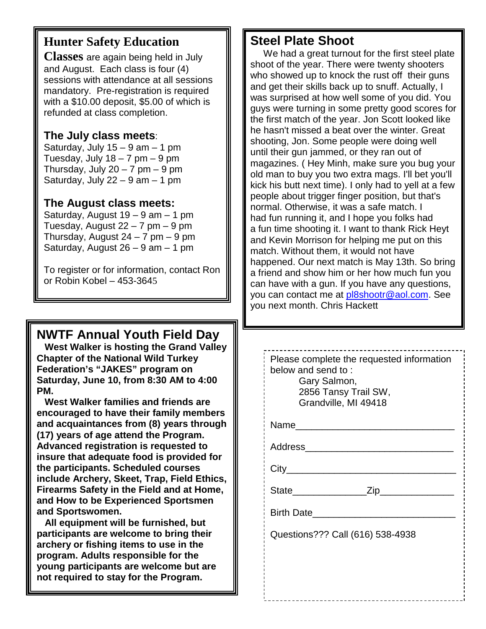# **Hunter Safety Education**

**Classes** are again being held in July and August. Each class is four (4) sessions with attendance at all sessions mandatory. Pre-registration is required with a \$10.00 deposit, \$5.00 of which is refunded at class completion.

#### **The July class meets**:

Saturday, July  $15 - 9$  am  $- 1$  pm Tuesday, July  $18 - 7$  pm  $-9$  pm Thursday, July  $20 - 7$  pm  $-9$  pm Saturday, July  $22 - 9$  am  $-1$  pm

#### **The August class meets:**

Saturday, August 19 – 9 am – 1 pm Tuesday, August  $22 - 7$  pm  $-9$  pm Thursday, August  $24 - 7$  pm  $-9$  pm Saturday, August  $26 - 9$  am  $- 1$  pm

To register or for information, contact Ron or Robin Kobel – 453-3645

# **NWTF Annual Youth Field Day**

 **West Walker is hosting the Grand Valley Chapter of the National Wild Turkey Federation's "JAKES" program on Saturday, June 10, from 8:30 AM to 4:00 PM.**

 **West Walker families and friends are encouraged to have their family members and acquaintances from (8) years through (17) years of age attend the Program. Advanced registration is requested to insure that adequate food is provided for the participants. Scheduled courses include Archery, Skeet, Trap, Field Ethics, Firearms Safety in the Field and at Home, and How to be Experienced Sportsmen and Sportswomen.**

 **All equipment will be furnished, but participants are welcome to bring their archery or fishing items to use in the program. Adults responsible for the young participants are welcome but are not required to stay for the Program.**

# **Steel Plate Shoot**

 We had a great turnout for the first steel plate shoot of the year. There were twenty shooters who showed up to knock the rust off their guns and get their skills back up to snuff. Actually, I was surprised at how well some of you did. You guys were turning in some pretty good scores for the first match of the year. Jon Scott looked like he hasn't missed a beat over the winter. Great shooting, Jon. Some people were doing well until their gun jammed, or they ran out of magazines. ( Hey Minh, make sure you bug your old man to buy you two extra mags. I'll bet you'll kick his butt next time). I only had to yell at a few people about trigger finger position, but that's normal. Otherwise, it was a safe match. I had fun running it, and I hope you folks had a fun time shooting it. I want to thank Rick Heyt and Kevin Morrison for helping me put on this match. Without them, it would not have happened. Our next match is May 13th. So bring a friend and show him or her how much fun you can have with a gun. If you have any questions, you can contact me at pl8shootr@aol.com. See you next month. Chris Hackett

| Please complete the requested information<br>below and send to:<br>Gary Salmon,<br>2856 Tansy Trail SW,<br>Grandville, MI 49418 |
|---------------------------------------------------------------------------------------------------------------------------------|
| Name____________________                                                                                                        |
| Address____________________________                                                                                             |
| City__________________________                                                                                                  |
| State__________________Zip_________________                                                                                     |
| Birth Date                                                                                                                      |
| Questions??? Call (616) 538-4938                                                                                                |
|                                                                                                                                 |
|                                                                                                                                 |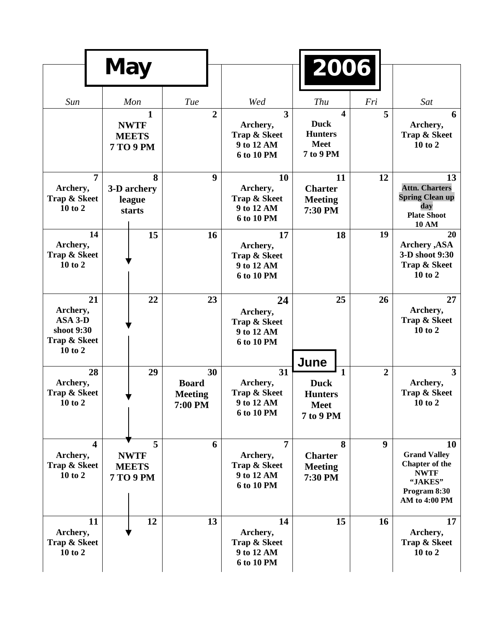|                                                              | <b>May</b>              |                                                                 |                                                 |                                                                        | 2006                                                                          |                  |                                                                                                               |
|--------------------------------------------------------------|-------------------------|-----------------------------------------------------------------|-------------------------------------------------|------------------------------------------------------------------------|-------------------------------------------------------------------------------|------------------|---------------------------------------------------------------------------------------------------------------|
| Sun                                                          |                         | Mon                                                             | Tue                                             | Wed                                                                    | Thu                                                                           | Fri              | Sat                                                                                                           |
|                                                              |                         | $\mathbf{1}$<br><b>NWTF</b><br><b>MEETS</b><br><b>7 TO 9 PM</b> | $\overline{2}$                                  | 3<br>Archery,<br>Trap & Skeet<br>9 to 12 AM<br>6 to 10 PM              | $\boldsymbol{4}$<br><b>Duck</b><br><b>Hunters</b><br><b>Meet</b><br>7 to 9 PM | 5                | 6<br>Archery,<br>Trap & Skeet<br>10 to 2                                                                      |
| Archery,<br>Trap & Skeet<br>10 to 2                          | $\overline{7}$          | 8<br>3-D archery<br>league<br>starts                            | 9                                               | <b>10</b><br>Archery,<br>Trap & Skeet<br>9 to 12 AM<br>6 to 10 PM      | 11<br><b>Charter</b><br><b>Meeting</b><br>7:30 PM                             | 12               | 13<br><b>Attn. Charters</b><br><b>Spring Clean up</b><br>day<br><b>Plate Shoot</b><br><b>10 AM</b>            |
| Archery,<br>Trap & Skeet<br>10 to 2                          | 14                      | 15                                                              | 16                                              | 17<br>Archery,<br>Trap & Skeet<br>9 to 12 AM<br>6 to 10 PM             | 18                                                                            | 19               | 20<br><b>Archery</b> , ASA<br>3-D shoot 9:30<br>Trap & Skeet<br>10 to 2                                       |
| Archery,<br>ASA 3-D<br>shoot 9:30<br>Trap & Skeet<br>10 to 2 | 21                      | 22                                                              | 23                                              | 24<br>Archery,<br>Trap & Skeet<br>9 to 12 AM<br>6 to 10 PM             | 25                                                                            | 26               | 27<br>Archery,<br>Trap & Skeet<br>10 to 2                                                                     |
| Archery,<br>Trap & Skeet<br>10 to 2                          | 28                      | 29                                                              | 30<br><b>Board</b><br><b>Meeting</b><br>7:00 PM | 31<br>Archery,<br>Trap & Skeet<br>9 to 12 AM<br>6 to 10 PM             | June<br>1<br><b>Duck</b><br><b>Hunters</b><br><b>Meet</b><br>7 to 9 PM        | $\overline{2}$   | $\overline{3}$<br>Archery,<br>Trap & Skeet<br>10 to 2                                                         |
| Archery,<br>Trap & Skeet<br>10 to 2                          | $\overline{\mathbf{4}}$ | 5<br><b>NWTF</b><br><b>MEETS</b><br><b>7 TO 9 PM</b>            | 6                                               | $\overline{7}$<br>Archery,<br>Trap & Skeet<br>9 to 12 AM<br>6 to 10 PM | 8<br><b>Charter</b><br><b>Meeting</b><br>7:30 PM                              | $\boldsymbol{9}$ | 10<br><b>Grand Valley</b><br><b>Chapter of the</b><br><b>NWTF</b><br>"JAKES"<br>Program 8:30<br>AM to 4:00 PM |
| Archery,<br>Trap & Skeet<br>10 to 2                          | 11                      | 12                                                              | 13                                              | 14<br>Archery,<br>Trap & Skeet<br>9 to 12 AM<br>6 to 10 PM             | 15                                                                            | 16               | 17<br>Archery,<br>Trap & Skeet<br>10 to 2                                                                     |